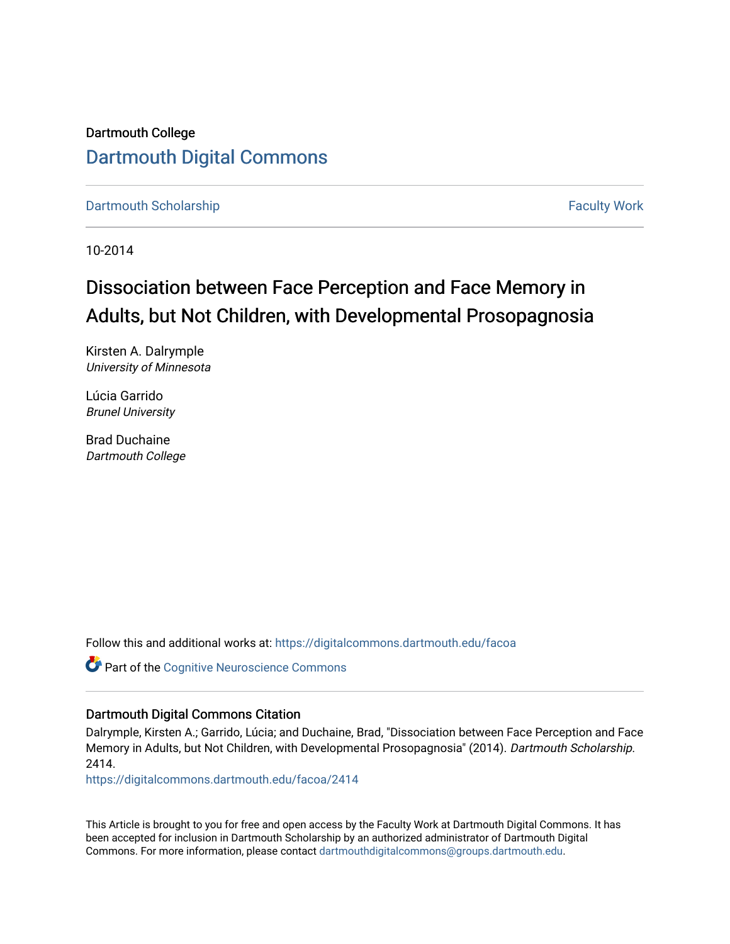Dartmouth College [Dartmouth Digital Commons](https://digitalcommons.dartmouth.edu/) 

[Dartmouth Scholarship](https://digitalcommons.dartmouth.edu/facoa) Faculty Work

10-2014

# Dissociation between Face Perception and Face Memory in Adults, but Not Children, with Developmental Prosopagnosia

Kirsten A. Dalrymple University of Minnesota

Lúcia Garrido Brunel University

Brad Duchaine Dartmouth College

Follow this and additional works at: [https://digitalcommons.dartmouth.edu/facoa](https://digitalcommons.dartmouth.edu/facoa?utm_source=digitalcommons.dartmouth.edu%2Ffacoa%2F2414&utm_medium=PDF&utm_campaign=PDFCoverPages)

Part of the [Cognitive Neuroscience Commons](http://network.bepress.com/hgg/discipline/57?utm_source=digitalcommons.dartmouth.edu%2Ffacoa%2F2414&utm_medium=PDF&utm_campaign=PDFCoverPages) 

# Dartmouth Digital Commons Citation

Dalrymple, Kirsten A.; Garrido, Lúcia; and Duchaine, Brad, "Dissociation between Face Perception and Face Memory in Adults, but Not Children, with Developmental Prosopagnosia" (2014). Dartmouth Scholarship. 2414.

[https://digitalcommons.dartmouth.edu/facoa/2414](https://digitalcommons.dartmouth.edu/facoa/2414?utm_source=digitalcommons.dartmouth.edu%2Ffacoa%2F2414&utm_medium=PDF&utm_campaign=PDFCoverPages) 

This Article is brought to you for free and open access by the Faculty Work at Dartmouth Digital Commons. It has been accepted for inclusion in Dartmouth Scholarship by an authorized administrator of Dartmouth Digital Commons. For more information, please contact [dartmouthdigitalcommons@groups.dartmouth.edu](mailto:dartmouthdigitalcommons@groups.dartmouth.edu).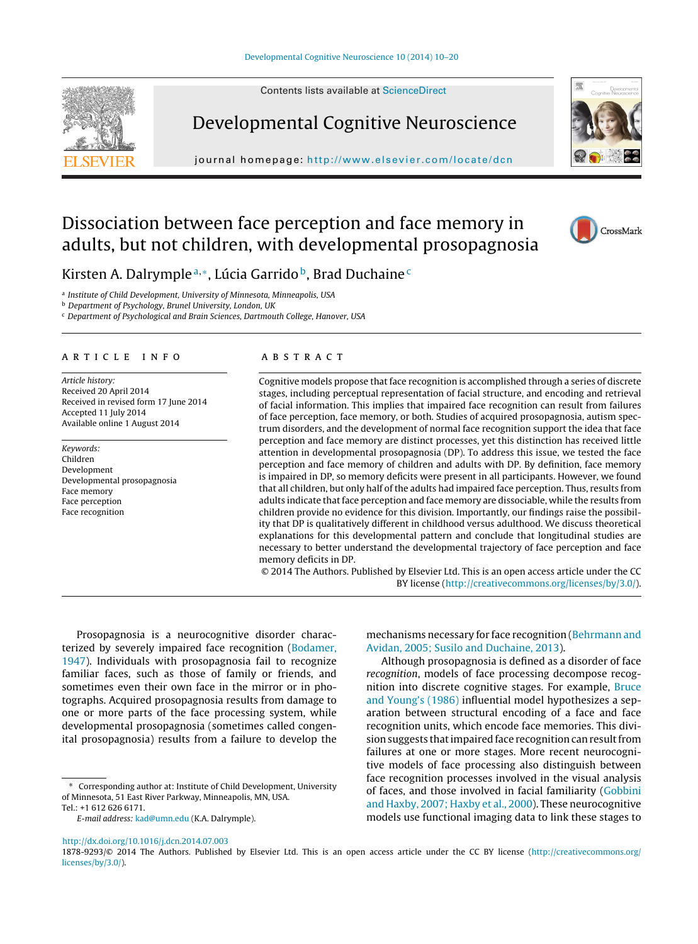Contents lists available at [ScienceDirect](http://www.sciencedirect.com/science/journal/18789293)



Developmental Cognitive Neuroscience

journal homepage: <http://www.elsevier.com/locate/dcn>



# Dissociation between face perception and face memory in adults, but not children, with developmental prosopagnosia

CrossMark

Kirsten A. Dalrymple<sup>a,∗</sup>, Lúcia Garrido<sup>b</sup>, Brad Duchaine<sup>c</sup>

<sup>a</sup> Institute of Child Development, University of Minnesota, Minneapolis, USA

**b** Department of Psychology, Brunel University, London, UK

<sup>c</sup> Department of Psychological and Brain Sciences, Dartmouth College, Hanover, USA

#### article info

Article history: Received 20 April 2014 Received in revised form 17 June 2014 Accepted 11 July 2014 Available online 1 August 2014

Keywords: Children Development Developmental prosopagnosia Face memory Face perception Face recognition

#### **ABSTRACT**

Cognitive models propose that face recognition is accomplished through a series of discrete stages, including perceptual representation of facial structure, and encoding and retrieval of facial information. This implies that impaired face recognition can result from failures of face perception, face memory, or both. Studies of acquired prosopagnosia, autism spectrum disorders, and the development of normal face recognition support the idea that face perception and face memory are distinct processes, yet this distinction has received little attention in developmental prosopagnosia (DP). To address this issue, we tested the face perception and face memory of children and adults with DP. By definition, face memory is impaired in DP, so memory deficits were present in all participants. However, we found that all children, but only half of the adults had impaired face perception. Thus, results from adults indicate that face perception and face memory are dissociable, while the results from children provide no evidence for this division. Importantly, our findings raise the possibility that DP is qualitatively different in childhood versus adulthood. We discuss theoretical explanations for this developmental pattern and conclude that longitudinal studies are necessary to better understand the developmental trajectory of face perception and face memory deficits in DP.

© 2014 The Authors. Published by Elsevier Ltd. This is an open access article under the CC BY license [\(http://creativecommons.org/licenses/by/3.0/](http://creativecommons.org/licenses/by/3.0/)).

Prosopagnosia is a neurocognitive disorder charac-terized by severely impaired face recognition [\(Bodamer,](#page-10-0) [1947\).](#page-10-0) Individuals with prosopagnosia fail to recognize familiar faces, such as those of family or friends, and sometimes even their own face in the mirror or in photographs. Acquired prosopagnosia results from damage to one or more parts of the face processing system, while developmental prosopagnosia (sometimes called congenital prosopagnosia) results from a failure to develop the mechanisms necessary for face recognition ([Behrmann and](#page-10-0) [Avidan, 2005; Susilo and Duchaine, 2013\).](#page-10-0)

Although prosopagnosia is defined as a disorder of face recognition, models of face processing decompose recognition into discrete cognitive stages. For example, [Bruce](#page-10-0) [and Young's \(1986\)](#page-10-0) influential model hypothesizes a separation between structural encoding of a face and face recognition units, which encode face memories. This division suggests that impaired face recognition can result from failures at one or more stages. More recent neurocognitive models of face processing also distinguish between face recognition processes involved in the visual analysis of faces, and those involved in facial familiarity [\(Gobbini](#page-10-0) [and Haxby, 2007; Haxby et al., 2000\).](#page-10-0) These neurocognitive models use functional imaging data to link these stages to

<sup>∗</sup> Corresponding author at: Institute of Child Development, University of Minnesota, 51 East River Parkway, Minneapolis, MN, USA. Tel.: +1 612 626 6171.

E-mail address: [kad@umn.edu](mailto:kad@umn.edu) (K.A. Dalrymple).

[http://dx.doi.org/10.1016/j.dcn.2014.07.003](dx.doi.org/10.1016/j.dcn.2014.07.003)

<sup>1878-9293/© 2014</sup> The Authors. Published by Elsevier Ltd. This is an open access article under the CC BY license [\(http://creativecommons.org/](http://creativecommons.org/licenses/by/3.0/) [licenses/by/3.0/](http://creativecommons.org/licenses/by/3.0/)).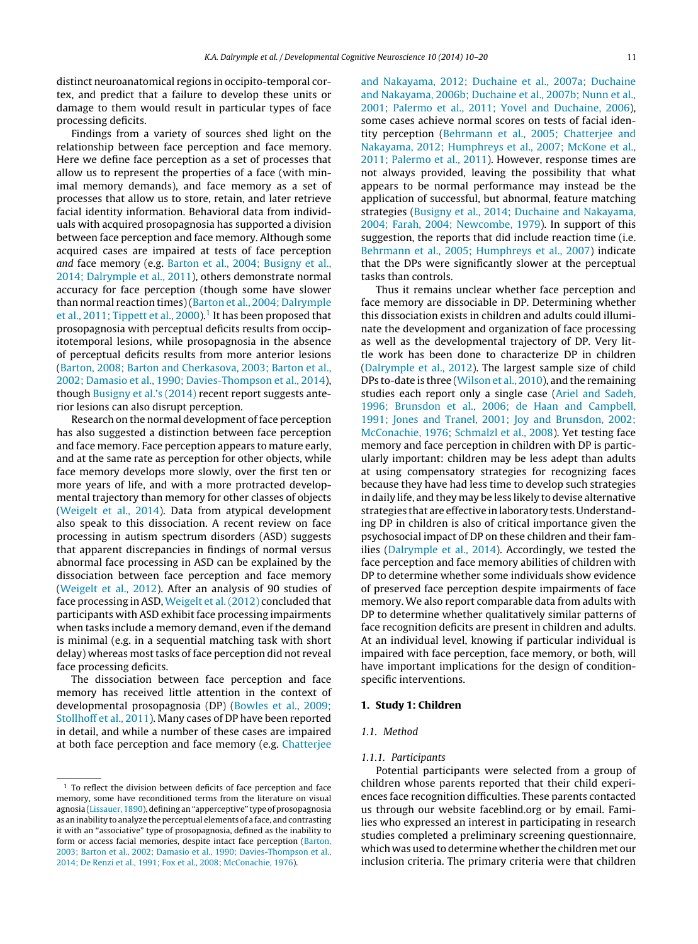distinct neuroanatomical regions in occipito-temporal cortex, and predict that a failure to develop these units or damage to them would result in particular types of face processing deficits.

Findings from a variety of sources shed light on the relationship between face perception and face memory. Here we define face perception as a set of processes that allow us to represent the properties of a face (with minimal memory demands), and face memory as a set of processes that allow us to store, retain, and later retrieve facial identity information. Behavioral data from individuals with acquired prosopagnosia has supported a division between face perception and face memory. Although some acquired cases are impaired at tests of face perception and face memory (e.g. [Barton et al., 2004; Busigny et al.,](#page-10-0) [2014; Dalrymple et al., 2011\),](#page-10-0) others demonstrate normal accuracy for face perception (though some have slower than normal reaction times) ([Barton et al., 2004; Dalrymple](#page-10-0) [et al., 2011; Tippett et al., 2000\).](#page-10-0)<sup>1</sup> It has been proposed that prosopagnosia with perceptual deficits results from occipitotemporal lesions, while prosopagnosia in the absence of perceptual deficits results from more anterior lesions [\(Barton, 2008; Barton and Cherkasova, 2003; Barton et al.,](#page-10-0) [2002; Damasio et al., 1990; Davies-Thompson et al., 2014\),](#page-10-0) though [Busigny et al.'s \(2014\)](#page-10-0) recent report suggests anterior lesions can also disrupt perception.

Research on the normal development of face perception has also suggested a distinction between face perception and face memory. Face perception appears to mature early, and at the same rate as perception for other objects, while face memory develops more slowly, over the first ten or more years of life, and with a more protracted developmental trajectory than memory for other classes of objects [\(Weigelt et al., 2014\).](#page-10-0) Data from atypical development also speak to this dissociation. A recent review on face processing in autism spectrum disorders (ASD) suggests that apparent discrepancies in findings of normal versus abnormal face processing in ASD can be explained by the dissociation between face perception and face memory [\(Weigelt et al., 2012\).](#page-11-0) After an analysis of 90 studies of face processing in ASD, [Weigelt et al. \(2012\)](#page-11-0) concluded that participants with ASD exhibit face processing impairments when tasks include a memory demand, even if the demand is minimal (e.g. in a sequential matching task with short delay) whereas most tasks of face perception did not reveal face processing deficits.

The dissociation between face perception and face memory has received little attention in the context of developmental prosopagnosia (DP) [\(Bowles et al., 2009;](#page-10-0) [Stollhoff et al., 2011\).](#page-10-0) Many cases of DP have been reported in detail, and while a number of these cases are impaired at both face perception and face memory (e.g. [Chatterjee](#page-10-0) [and Nakayama, 2012; Duchaine et al., 2007a; Duchaine](#page-10-0) [and Nakayama, 2006b; Duchaine et al., 2007b; Nunn et al.,](#page-10-0) [2001; Palermo et al., 2011; Yovel and Duchaine, 2006\),](#page-10-0) some cases achieve normal scores on tests of facial identity perception [\(Behrmann et al., 2005; Chatterjee and](#page-10-0) [Nakayama, 2012; Humphreys et al., 2007; McKone et al.,](#page-10-0) [2011; Palermo et al., 2011\).](#page-10-0) However, response times are not always provided, leaving the possibility that what appears to be normal performance may instead be the application of successful, but abnormal, feature matching strategies ([Busigny et al., 2014; Duchaine and Nakayama,](#page-10-0) [2004; Farah, 2004; Newcombe, 1979\).](#page-10-0) In support of this suggestion, the reports that did include reaction time (i.e. [Behrmann et al., 2005; Humphreys et al., 2007\)](#page-10-0) indicate that the DPs were significantly slower at the perceptual tasks than controls.

Thus it remains unclear whether face perception and face memory are dissociable in DP. Determining whether this dissociation exists in children and adults could illuminate the development and organization of face processing as well as the developmental trajectory of DP. Very little work has been done to characterize DP in children [\(Dalrymple et al., 2012\).](#page-10-0) The largest sample size of child DPs to-date is three [\(Wilson et al., 2010\),](#page-11-0) and the remaining studies each report only a single case ([Ariel and Sadeh,](#page-10-0) [1996; Brunsdon et al., 2006; de Haan and Campbell,](#page-10-0) [1991; Jones and Tranel, 2001; Joy and Brunsdon, 2002;](#page-10-0) [McConachie, 1976; Schmalzl et al., 2008\).](#page-10-0) Yet testing face memory and face perception in children with DP is particularly important: children may be less adept than adults at using compensatory strategies for recognizing faces because they have had less time to develop such strategies in daily life, and they may be less likely to devise alternative strategies that are effective in laboratory tests. Understanding DP in children is also of critical importance given the psychosocial impact of DP on these children and their families ([Dalrymple et al., 2014\).](#page-10-0) Accordingly, we tested the face perception and face memory abilities of children with DP to determine whether some individuals show evidence of preserved face perception despite impairments of face memory. We also report comparable data from adults with DP to determine whether qualitatively similar patterns of face recognition deficits are present in children and adults. At an individual level, knowing if particular individual is impaired with face perception, face memory, or both, will have important implications for the design of conditionspecific interventions.

#### **1. Study 1: Children**

# 1.1. Method

#### 1.1.1. Participants

Potential participants were selected from a group of children whose parents reported that their child experiences face recognition difficulties. These parents contacted us through our website faceblind.org or by email. Families who expressed an interest in participating in research studies completed a preliminary screening questionnaire, which was used to determine whether the children met our inclusion criteria. The primary criteria were that children

<sup>&</sup>lt;sup>1</sup> To reflect the division between deficits of face perception and face memory, some have reconditioned terms from the literature on visual agnosia ([Lissauer, 1890\),](#page-10-0) defining an "apperceptive" type of prosopagnosia as an inability to analyze the perceptual elements of a face, and contrasting it with an "associative" type of prosopagnosia, defined as the inability to form or access facial memories, despite intact face perception [\(Barton,](#page-10-0) [2003; Barton et al., 2002; Damasio et al., 1990; Davies-Thompson et al.,](#page-10-0) [2014; De Renzi et al., 1991; Fox et al., 2008; McConachie, 1976\).](#page-10-0)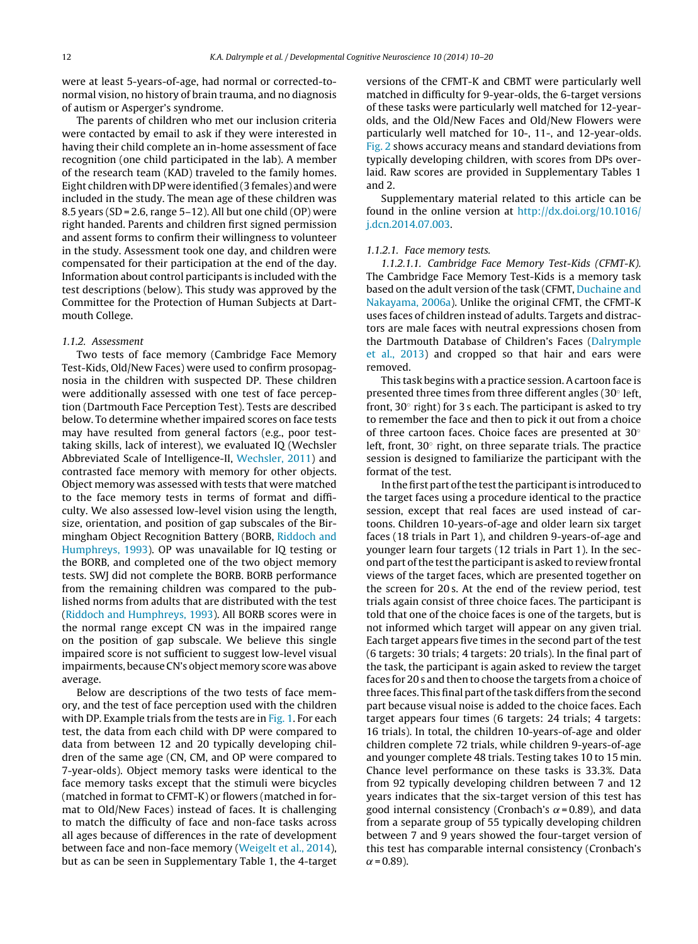The parents of children who met our inclusion criteria were contacted by email to ask if they were interested in having their child complete an in-home assessment of face recognition (one child participated in the lab). A member of the research team (KAD) traveled to the family homes. Eight children with DP were identified (3 females) and were included in the study. The mean age of these children was 8.5 years (SD = 2.6, range  $5-12$ ). All but one child (OP) were right handed. Parents and children first signed permission and assent forms to confirm their willingness to volunteer in the study. Assessment took one day, and children were compensated for their participation at the end of the day. Information about control participants is included with the test descriptions (below). This study was approved by the Committee for the Protection of Human Subjects at Dartmouth College.

#### 1.1.2. Assessment

Two tests of face memory (Cambridge Face Memory Test-Kids, Old/New Faces) were used to confirm prosopagnosia in the children with suspected DP. These children were additionally assessed with one test of face perception (Dartmouth Face Perception Test). Tests are described below. To determine whether impaired scores on face tests may have resulted from general factors (e.g., poor testtaking skills, lack of interest), we evaluated IQ (Wechsler Abbreviated Scale of Intelligence-II, [Wechsler, 2011\)](#page-10-0) and contrasted face memory with memory for other objects. Object memory was assessed with tests that were matched to the face memory tests in terms of format and difficulty. We also assessed low-level vision using the length, size, orientation, and position of gap subscales of the Birmingham Object Recognition Battery (BORB, [Riddoch and](#page-10-0) [Humphreys, 1993\).](#page-10-0) OP was unavailable for IQ testing or the BORB, and completed one of the two object memory tests. SWJ did not complete the BORB. BORB performance from the remaining children was compared to the published norms from adults that are distributed with the test [\(Riddoch and Humphreys, 1993\).](#page-10-0) All BORB scores were in the normal range except CN was in the impaired range on the position of gap subscale. We believe this single impaired score is not sufficient to suggest low-level visual impairments, because CN's object memory score was above average.

Below are descriptions of the two tests of face memory, and the test of face perception used with the children with DP. Example trials from the tests are in [Fig. 1. F](#page-4-0)or each test, the data from each child with DP were compared to data from between 12 and 20 typically developing children of the same age (CN, CM, and OP were compared to 7-year-olds). Object memory tasks were identical to the face memory tasks except that the stimuli were bicycles (matched in format to CFMT-K) or flowers (matched in format to Old/New Faces) instead of faces. It is challenging to match the difficulty of face and non-face tasks across all ages because of differences in the rate of development between face and non-face memory ([Weigelt et al., 2014\),](#page-10-0) but as can be seen in Supplementary Table 1, the 4-target versions of the CFMT-K and CBMT were particularly well matched in difficulty for 9-year-olds, the 6-target versions of these tasks were particularly well matched for 12-yearolds, and the Old/New Faces and Old/New Flowers were particularly well matched for 10-, 11-, and 12-year-olds. [Fig. 2](#page-5-0) shows accuracy means and standard deviations from typically developing children, with scores from DPs overlaid. Raw scores are provided in Supplementary Tables 1 and 2.

Supplementary material related to this article can be found in the online version at [http://dx.doi.org/10.1016/](http://dx.doi.org/10.1016/j.dcn.2014.07.003) [j.dcn.2014.07.003.](http://dx.doi.org/10.1016/j.dcn.2014.07.003)

#### 1.1.2.1. Face memory tests.

1.1.2.1.1. Cambridge Face Memory Test-Kids (CFMT-K). The Cambridge Face Memory Test-Kids is a memory task based on the adult version of the task (CFMT, [Duchaine and](#page-10-0) [Nakayama, 2006a\).](#page-10-0) Unlike the original CFMT, the CFMT-K uses faces of children instead of adults. Targets and distractors are male faces with neutral expressions chosen from the Dartmouth Database of Children's Faces [\(Dalrymple](#page-10-0) [et al., 2013\)](#page-10-0) and cropped so that hair and ears were removed.

This task begins with a practice session. A cartoon face is presented three times from three different angles (30◦ left, front,  $30^\circ$  right) for 3 s each. The participant is asked to try to remember the face and then to pick it out from a choice of three cartoon faces. Choice faces are presented at 30◦ left, front, 30◦ right, on three separate trials. The practice session is designed to familiarize the participant with the format of the test.

In the first part of the test the participant is introduced to the target faces using a procedure identical to the practice session, except that real faces are used instead of cartoons. Children 10-years-of-age and older learn six target faces (18 trials in Part 1), and children 9-years-of-age and younger learn four targets (12 trials in Part 1). In the second part of the test the participant is asked to review frontal views of the target faces, which are presented together on the screen for 20 s. At the end of the review period, test trials again consist of three choice faces. The participant is told that one of the choice faces is one of the targets, but is not informed which target will appear on any given trial. Each target appears five times in the second part of the test (6 targets: 30 trials; 4 targets: 20 trials). In the final part of the task, the participant is again asked to review the target faces for 20 s and then to choose the targets from a choice of three faces. This final part of the task differs from the second part because visual noise is added to the choice faces. Each target appears four times (6 targets: 24 trials; 4 targets: 16 trials). In total, the children 10-years-of-age and older children complete 72 trials, while children 9-years-of-age and younger complete 48 trials. Testing takes 10 to 15 min. Chance level performance on these tasks is 33.3%. Data from 92 typically developing children between 7 and 12 years indicates that the six-target version of this test has good internal consistency (Cronbach's  $\alpha$  = 0.89), and data from a separate group of 55 typically developing children between 7 and 9 years showed the four-target version of this test has comparable internal consistency (Cronbach's  $\alpha$  = 0.89).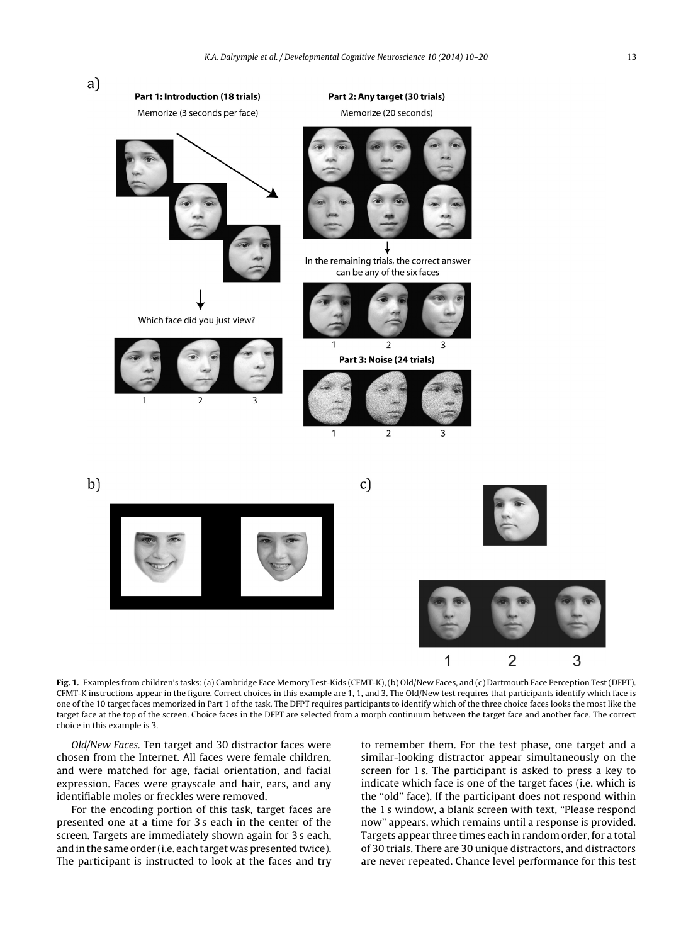<span id="page-4-0"></span>

**Fig. 1.** Examples from children's tasks: (a) Cambridge Face Memory Test-Kids (CFMT-K), (b) Old/New Faces, and (c) Dartmouth Face Perception Test (DFPT). CFMT-K instructions appear in the figure. Correct choices in this example are 1, 1, and 3. The Old/New test requires that participants identify which face is one of the 10 target faces memorized in Part 1 of the task. The DFPT requires participants to identify which of the three choice faces looks the most like the target face at the top of the screen. Choice faces in the DFPT are selected from a morph continuum between the target face and another face. The correct choice in this example is 3.

Old/New Faces. Ten target and 30 distractor faces were chosen from the Internet. All faces were female children, and were matched for age, facial orientation, and facial expression. Faces were grayscale and hair, ears, and any identifiable moles or freckles were removed.

For the encoding portion of this task, target faces are presented one at a time for 3 s each in the center of the screen. Targets are immediately shown again for 3 s each, and in the same order (i.e. each target was presented twice). The participant is instructed to look at the faces and try to remember them. For the test phase, one target and a similar-looking distractor appear simultaneously on the screen for 1 s. The participant is asked to press a key to indicate which face is one of the target faces (i.e. which is the "old" face). If the participant does not respond within the 1 s window, a blank screen with text, "Please respond now" appears, which remains until a response is provided. Targets appear three times each in random order, for a total of 30 trials. There are 30 unique distractors, and distractors are never repeated. Chance level performance for this test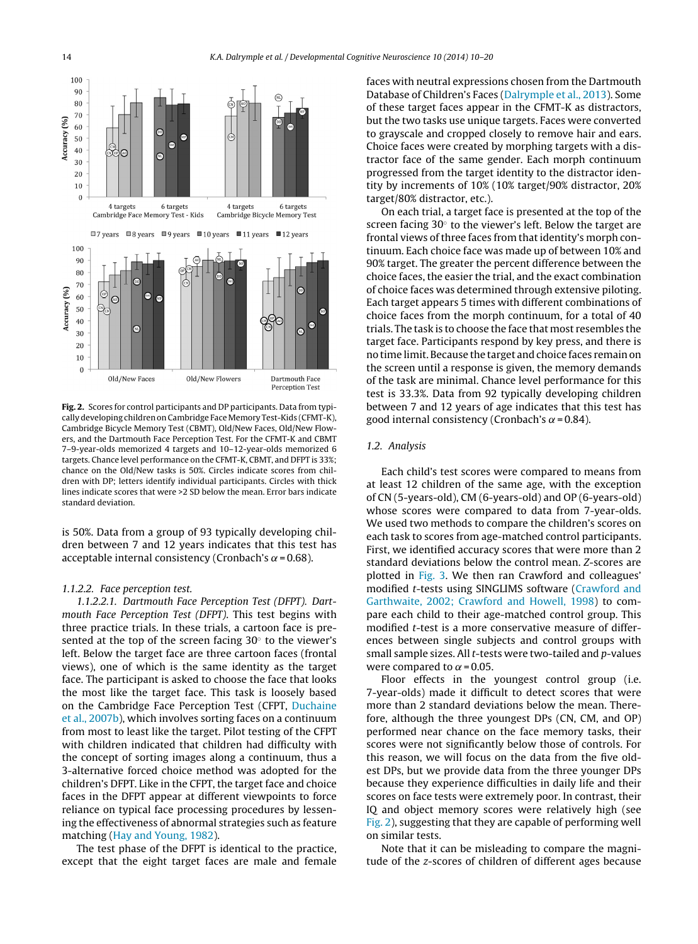<span id="page-5-0"></span>

**Fig. 2.** Scores for control participants and DP participants. Data from typically developing children on Cambridge Face Memory Test-Kids (CFMT-K), Cambridge Bicycle Memory Test (CBMT), Old/New Faces, Old/New Flowers, and the Dartmouth Face Perception Test. For the CFMT-K and CBMT 7–9-year-olds memorized 4 targets and 10–12-year-olds memorized 6 targets. Chance level performance on the CFMT-K, CBMT, and DFPT is 33%; chance on the Old/New tasks is 50%. Circles indicate scores from children with DP; letters identify individual participants. Circles with thick lines indicate scores that were >2 SD below the mean. Error bars indicate standard deviation.

is 50%. Data from a group of 93 typically developing children between 7 and 12 years indicates that this test has acceptable internal consistency (Cronbach's  $\alpha$  = 0.68).

#### 1.1.2.2. Face perception test.

1.1.2.2.1. Dartmouth Face Perception Test (DFPT). Dartmouth Face Perception Test (DFPT). This test begins with three practice trials. In these trials, a cartoon face is presented at the top of the screen facing  $30^\circ$  to the viewer's left. Below the target face are three cartoon faces (frontal views), one of which is the same identity as the target face. The participant is asked to choose the face that looks the most like the target face. This task is loosely based on the Cambridge Face Perception Test (CFPT, [Duchaine](#page-10-0) [et al., 2007b\),](#page-10-0) which involves sorting faces on a continuum from most to least like the target. Pilot testing of the CFPT with children indicated that children had difficulty with the concept of sorting images along a continuum, thus a 3-alternative forced choice method was adopted for the children's DFPT. Like in the CFPT, the target face and choice faces in the DFPT appear at different viewpoints to force reliance on typical face processing procedures by lessening the effectiveness of abnormal strategies such as feature matching [\(Hay and Young, 1982\).](#page-10-0)

The test phase of the DFPT is identical to the practice, except that the eight target faces are male and female faces with neutral expressions chosen from the Dartmouth Database of Children's Faces [\(Dalrymple et al., 2013\).](#page-10-0) Some of these target faces appear in the CFMT-K as distractors, but the two tasks use unique targets. Faces were converted to grayscale and cropped closely to remove hair and ears. Choice faces were created by morphing targets with a distractor face of the same gender. Each morph continuum progressed from the target identity to the distractor identity by increments of 10% (10% target/90% distractor, 20% target/80% distractor, etc.).

On each trial, a target face is presented at the top of the screen facing 30 $<sup>°</sup>$  to the viewer's left. Below the target are</sup> frontal views of three faces from that identity's morph continuum. Each choice face was made up of between 10% and 90% target. The greater the percent difference between the choice faces, the easier the trial, and the exact combination of choice faces was determined through extensive piloting. Each target appears 5 times with different combinations of choice faces from the morph continuum, for a total of 40 trials. The task is to choose the face that most resembles the target face. Participants respond by key press, and there is no time limit. Because the target and choice faces remain on the screen until a response is given, the memory demands of the task are minimal. Chance level performance for this test is 33.3%. Data from 92 typically developing children between 7 and 12 years of age indicates that this test has good internal consistency (Cronbach's  $\alpha$  = 0.84).

#### 1.2. Analysis

Each child's test scores were compared to means from at least 12 children of the same age, with the exception of CN (5-years-old), CM (6-years-old) and OP (6-years-old) whose scores were compared to data from 7-year-olds. We used two methods to compare the children's scores on each task to scores from age-matched control participants. First, we identified accuracy scores that were more than 2 standard deviations below the control mean. Z-scores are plotted in [Fig. 3.](#page-6-0) We then ran Crawford and colleagues' modified t-tests using SINGLIMS software ([Crawford and](#page-10-0) [Garthwaite, 2002; Crawford and Howell, 1998\)](#page-10-0) to compare each child to their age-matched control group. This modified t-test is a more conservative measure of differences between single subjects and control groups with small sample sizes. All t-tests were two-tailed and p-values were compared to  $\alpha$  = 0.05.

Floor effects in the youngest control group (i.e. 7-year-olds) made it difficult to detect scores that were more than 2 standard deviations below the mean. Therefore, although the three youngest DPs (CN, CM, and OP) performed near chance on the face memory tasks, their scores were not significantly below those of controls. For this reason, we will focus on the data from the five oldest DPs, but we provide data from the three younger DPs because they experience difficulties in daily life and their scores on face tests were extremely poor. In contrast, their IQ and object memory scores were relatively high (see Fig. 2), suggesting that they are capable of performing well on similar tests.

Note that it can be misleading to compare the magnitude of the z-scores of children of different ages because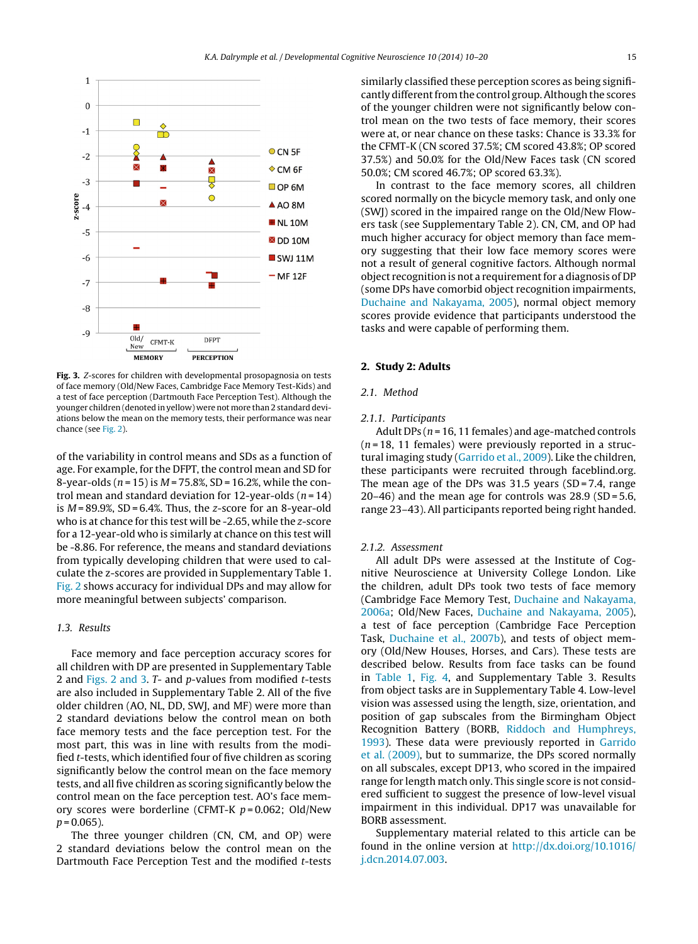<span id="page-6-0"></span>

Fig. 3. Z-scores for children with developmental prosopagnosia on tests of face memory (Old/New Faces, Cambridge Face Memory Test-Kids) and a test of face perception (Dartmouth Face Perception Test). Although the younger children (denoted in yellow) were not more than 2 standard deviations below the mean on the memory tests, their performance was near chance (see [Fig. 2\).](#page-5-0)

of the variability in control means and SDs as a function of age. For example, for the DFPT, the control mean and SD for 8-year-olds ( $n = 15$ ) is  $M = 75.8$ %, SD = 16.2%, while the control mean and standard deviation for 12-year-olds ( $n = 14$ ) is  $M = 89.9\%$ , SD = 6.4%. Thus, the z-score for an 8-year-old who is at chance for this test will be -2.65, while the z-score for a 12-year-old who is similarly at chance on this test will be -8.86. For reference, the means and standard deviations from typically developing children that were used to calculate the z-scores are provided in Supplementary Table 1. [Fig. 2](#page-5-0) shows accuracy for individual DPs and may allow for more meaningful between subjects' comparison.

#### 1.3. Results

Face memory and face perception accuracy scores for all children with DP are presented in Supplementary Table 2 and [Figs. 2 and 3.](#page-5-0) T- and p-values from modified t-tests are also included in Supplementary Table 2. All of the five older children (AO, NL, DD, SWJ, and MF) were more than 2 standard deviations below the control mean on both face memory tests and the face perception test. For the most part, this was in line with results from the modified t-tests, which identified four of five children as scoring significantly below the control mean on the face memory tests, and all five children as scoring significantly below the control mean on the face perception test. AO's face memory scores were borderline (CFMT-K  $p = 0.062$ ; Old/New  $p = 0.065$ ).

The three younger children (CN, CM, and OP) were 2 standard deviations below the control mean on the Dartmouth Face Perception Test and the modified t-tests similarly classified these perception scores as being significantly different from the control group. Although the scores of the younger children were not significantly below control mean on the two tests of face memory, their scores were at, or near chance on these tasks: Chance is 33.3% for the CFMT-K (CN scored 37.5%; CM scored 43.8%; OP scored 37.5%) and 50.0% for the Old/New Faces task (CN scored 50.0%; CM scored 46.7%; OP scored 63.3%).

In contrast to the face memory scores, all children scored normally on the bicycle memory task, and only one (SWJ) scored in the impaired range on the Old/New Flowers task (see Supplementary Table 2). CN, CM, and OP had much higher accuracy for object memory than face memory suggesting that their low face memory scores were not a result of general cognitive factors. Although normal object recognition is not a requirement for a diagnosis of DP (some DPs have comorbid object recognition impairments, [Duchaine and Nakayama, 2005\),](#page-10-0) normal object memory scores provide evidence that participants understood the tasks and were capable of performing them.

#### **2. Study 2: Adults**

# 2.1. Method

#### 2.1.1. Participants

Adult DPs ( $n = 16$ , 11 females) and age-matched controls  $(n=18, 11$  females) were previously reported in a structural imaging study [\(Garrido et al., 2009\).](#page-10-0) Like the children, these participants were recruited through faceblind.org. The mean age of the DPs was  $31.5$  years (SD = 7.4, range 20–46) and the mean age for controls was 28.9 (SD = 5.6, range 23–43). All participants reported being right handed.

#### 2.1.2. Assessment

All adult DPs were assessed at the Institute of Cognitive Neuroscience at University College London. Like the children, adult DPs took two tests of face memory (Cambridge Face Memory Test, [Duchaine and Nakayama,](#page-10-0) [2006a;](#page-10-0) Old/New Faces, [Duchaine and Nakayama, 2005\),](#page-10-0) a test of face perception (Cambridge Face Perception Task, [Duchaine et al., 2007b\),](#page-10-0) and tests of object memory (Old/New Houses, Horses, and Cars). These tests are described below. Results from face tasks can be found in [Table 1,](#page-7-0) [Fig. 4,](#page-7-0) and Supplementary Table 3. Results from object tasks are in Supplementary Table 4. Low-level vision was assessed using the length, size, orientation, and position of gap subscales from the Birmingham Object Recognition Battery (BORB, [Riddoch and Humphreys,](#page-10-0) [1993\).](#page-10-0) These data were previously reported in [Garrido](#page-10-0) [et al. \(2009\),](#page-10-0) but to summarize, the DPs scored normally on all subscales, except DP13, who scored in the impaired range for length match only. This single score is not considered sufficient to suggest the presence of low-level visual impairment in this individual. DP17 was unavailable for BORB assessment.

Supplementary material related to this article can be found in the online version at [http://dx.doi.org/10.1016/](http://dx.doi.org/10.1016/j.dcn.2014.07.003) [j.dcn.2014.07.003](http://dx.doi.org/10.1016/j.dcn.2014.07.003).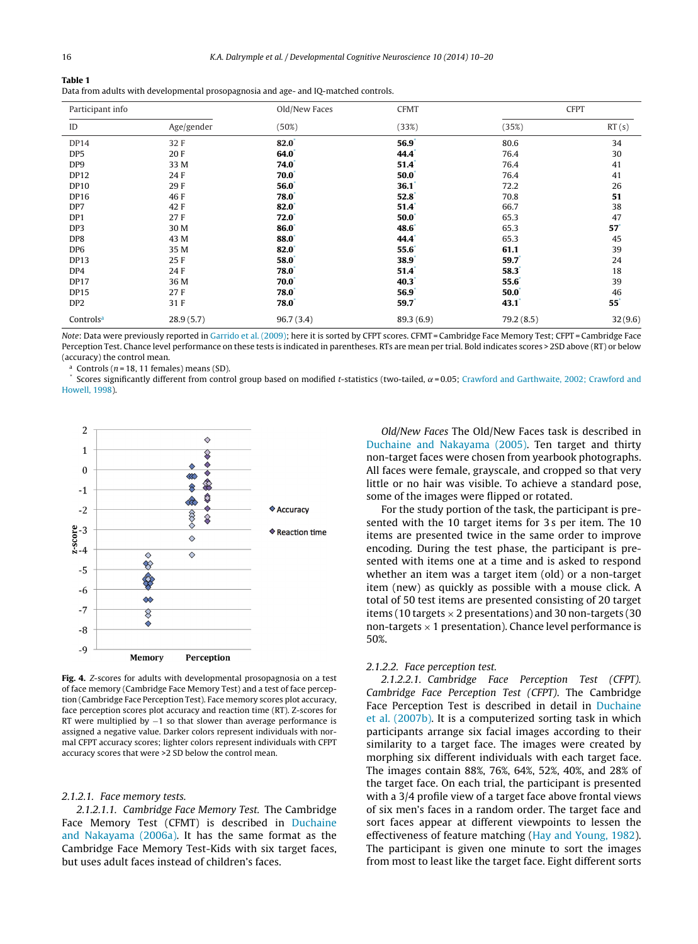<span id="page-7-0"></span>

| Table 1                                                                             |  |  |
|-------------------------------------------------------------------------------------|--|--|
| Data from adults with developmental prosopagnosia and age- and IQ-matched controls. |  |  |

| Participant info      |            | Old/New Faces    | <b>CFMT</b>    | <b>CFPT</b>    |              |
|-----------------------|------------|------------------|----------------|----------------|--------------|
| ID                    | Age/gender | (50%)            | (33%)          | (35%)          | RT(s)        |
| DP14                  | 32F        | 82.0             | $56.9^{\circ}$ | 80.6           | 34           |
| DP <sub>5</sub>       | 20F        | 64.0             | $44.4^{\circ}$ | 76.4           | 30           |
| DP9                   | 33 M       | $74.0^{\degree}$ | 51.4           | 76.4           | 41           |
| <b>DP12</b>           | 24 F       | $70.0^\circ$     | 50.0           | 76.4           | 41           |
| <b>DP10</b>           | 29F        | 56.0             | 36.1           | 72.2           | 26           |
| <b>DP16</b>           | 46F        | 78.0             | 52.8           | 70.8           | 51           |
| DP7                   | 42F        | 82.0             | 51.4           | 66.7           | 38           |
| DP1                   | 27F        | 72.0             | $50.0^\circ$   | 65.3           | 47           |
| DP3                   | 30 M       | 86.0             | $48.6^{\circ}$ | 65.3           | $57*$        |
| DP8                   | 43 M       | <b>88.0</b>      | $44.4^{\circ}$ | 65.3           | 45           |
| DP <sub>6</sub>       | 35 M       | 82.0             | $55.6^*$       | 61.1           | 39           |
| <b>DP13</b>           | 25F        | 58.0             | 38.9           | 59.7           | 24           |
| DP4                   | 24F        | 78.0             | 51.4           | $58.3^{\circ}$ | 18           |
| <b>DP17</b>           | 36 M       | $70.0^\circ$     | $40.3^{\circ}$ | $55.6^*$       | 39           |
| <b>DP15</b>           | 27F        | $78.0^{\degree}$ | 56.9           | $50.0*$        | 46           |
| DP <sub>2</sub>       | 31F        | 78.0             | 59.7           | 43.1           | $55^{\circ}$ |
| Controls <sup>a</sup> | 28.9(5.7)  | 96.7(3.4)        | 89.3(6.9)      | 79.2(8.5)      | 32(9.6)      |

Note: Data were previously reported in [Garrido et al. \(2009\); h](#page-10-0)ere it is sorted by CFPT scores. CFMT = Cambridge Face Memory Test; CFPT = Cambridge Face Perception Test. Chance level performance on these tests is indicated in parentheses. RTs are mean per trial. Bold indicates scores > 2SD above (RT) or below (accuracy) the control mean.

Controls ( $n = 18$ , 11 females) means (SD).

Scores significantly different from control group based on modified t-statistics (two-tailed,  $\alpha$  = 0.05; [Crawford and Garthwaite, 2002; Crawford and](#page-10-0) [Howell, 1998\).](#page-10-0)



**Fig. 4.** Z-scores for adults with developmental prosopagnosia on a test of face memory (Cambridge Face Memory Test) and a test of face perception (Cambridge Face Perception Test). Face memory scores plot accuracy, face perception scores plot accuracy and reaction time (RT). Z-scores for RT were multiplied by −1 so that slower than average performance is assigned a negative value. Darker colors represent individuals with normal CFPT accuracy scores; lighter colors represent individuals with CFPT accuracy scores that were >2 SD below the control mean.

#### 2.1.2.1. Face memory tests.

2.1.2.1.1. Cambridge Face Memory Test. The Cambridge Face Memory Test (CFMT) is described in [Duchaine](#page-10-0) [and Nakayama \(2006a\).](#page-10-0) It has the same format as the Cambridge Face Memory Test-Kids with six target faces, but uses adult faces instead of children's faces.

Old/New Faces The Old/New Faces task is described in [Duchaine and Nakayama \(2005\).](#page-10-0) Ten target and thirty non-target faces were chosen from yearbook photographs. All faces were female, grayscale, and cropped so that very little or no hair was visible. To achieve a standard pose, some of the images were flipped or rotated.

For the study portion of the task, the participant is presented with the 10 target items for 3s per item. The 10 items are presented twice in the same order to improve encoding. During the test phase, the participant is presented with items one at a time and is asked to respond whether an item was a target item (old) or a non-target item (new) as quickly as possible with a mouse click. A total of 50 test items are presented consisting of 20 target items (10 targets  $\times$  2 presentations) and 30 non-targets (30 non-targets  $\times$  1 presentation). Chance level performance is 50%.

## 2.1.2.2. Face perception test.

2.1.2.2.1. Cambridge Face Perception Test (CFPT). Cambridge Face Perception Test (CFPT). The Cambridge Face Perception Test is described in detail in [Duchaine](#page-10-0) [et al. \(2007b\). I](#page-10-0)t is a computerized sorting task in which participants arrange six facial images according to their similarity to a target face. The images were created by morphing six different individuals with each target face. The images contain 88%, 76%, 64%, 52%, 40%, and 28% of the target face. On each trial, the participant is presented with a 3/4 profile view of a target face above frontal views of six men's faces in a random order. The target face and sort faces appear at different viewpoints to lessen the effectiveness of feature matching ([Hay and Young, 1982\).](#page-10-0) The participant is given one minute to sort the images from most to least like the target face. Eight different sorts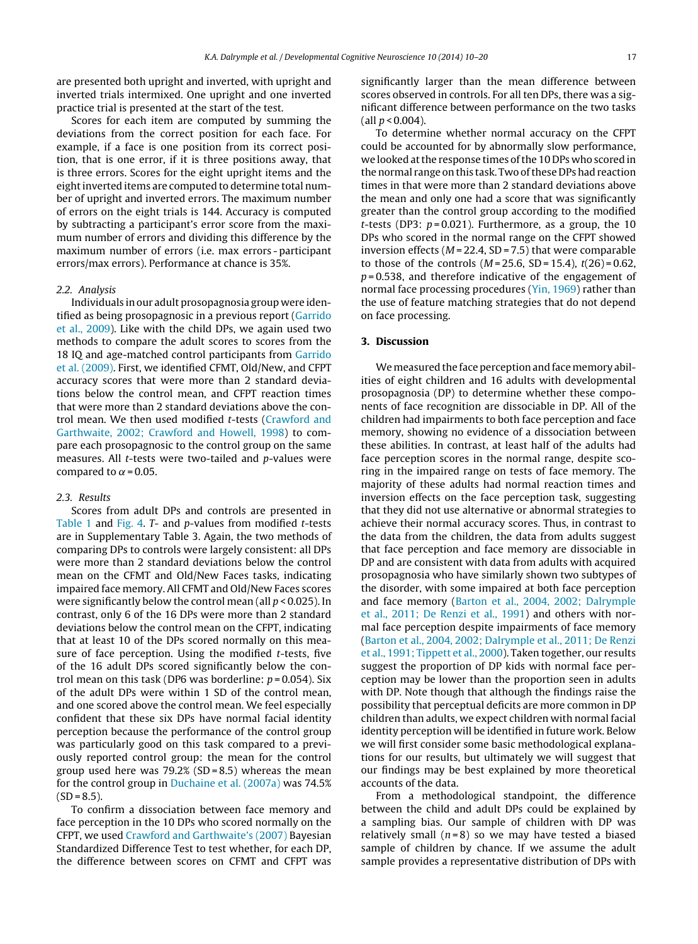are presented both upright and inverted, with upright and inverted trials intermixed. One upright and one inverted practice trial is presented at the start of the test.

Scores for each item are computed by summing the deviations from the correct position for each face. For example, if a face is one position from its correct position, that is one error, if it is three positions away, that is three errors. Scores for the eight upright items and the eight inverted items are computed to determine total number of upright and inverted errors. The maximum number of errors on the eight trials is 144. Accuracy is computed by subtracting a participant's error score from the maximum number of errors and dividing this difference by the maximum number of errors (i.e. max errors - participant errors/max errors). Performance at chance is 35%.

#### 2.2. Analysis

Individuals in our adult prosopagnosia group were identified as being prosopagnosic in a previous report [\(Garrido](#page-10-0) [et al., 2009\).](#page-10-0) Like with the child DPs, we again used two methods to compare the adult scores to scores from the 18 IQ and age-matched control participants from [Garrido](#page-10-0) [et al. \(2009\). F](#page-10-0)irst, we identified CFMT, Old/New, and CFPT accuracy scores that were more than 2 standard deviations below the control mean, and CFPT reaction times that were more than 2 standard deviations above the control mean. We then used modified t-tests [\(Crawford and](#page-10-0) [Garthwaite, 2002; Crawford and Howell, 1998\)](#page-10-0) to compare each prosopagnosic to the control group on the same measures. All t-tests were two-tailed and p-values were compared to  $\alpha$  = 0.05.

## 2.3. Results

Scores from adult DPs and controls are presented in [Table 1](#page-7-0) and [Fig. 4.](#page-7-0) T- and p-values from modified t-tests are in Supplementary Table 3. Again, the two methods of comparing DPs to controls were largely consistent: all DPs were more than 2 standard deviations below the control mean on the CFMT and Old/New Faces tasks, indicating impaired face memory. All CFMT and Old/New Faces scores were significantly below the control mean (all  $p < 0.025$ ). In contrast, only 6 of the 16 DPs were more than 2 standard deviations below the control mean on the CFPT, indicating that at least 10 of the DPs scored normally on this measure of face perception. Using the modified t-tests, five of the 16 adult DPs scored significantly below the control mean on this task (DP6 was borderline:  $p = 0.054$ ). Six of the adult DPs were within 1 SD of the control mean, and one scored above the control mean. We feel especially confident that these six DPs have normal facial identity perception because the performance of the control group was particularly good on this task compared to a previously reported control group: the mean for the control group used here was  $79.2%$  (SD = 8.5) whereas the mean for the control group in [Duchaine et al. \(2007a\)](#page-10-0) was 74.5%  $(SD = 8.5)$ .

To confirm a dissociation between face memory and face perception in the 10 DPs who scored normally on the CFPT, we used [Crawford and Garthwaite's \(2007\)](#page-10-0) Bayesian Standardized Difference Test to test whether, for each DP, the difference between scores on CFMT and CFPT was significantly larger than the mean difference between scores observed in controls. For all ten DPs, there was a significant difference between performance on the two tasks (all  $p < 0.004$ ).

To determine whether normal accuracy on the CFPT could be accounted for by abnormally slow performance, we looked at the response times of the 10 DPs who scored in the normal range on this task. Two of these DPs had reaction times in that were more than 2 standard deviations above the mean and only one had a score that was significantly greater than the control group according to the modified t-tests (DP3:  $p = 0.021$ ). Furthermore, as a group, the 10 DPs who scored in the normal range on the CFPT showed inversion effects ( $M = 22.4$ , SD = 7.5) that were comparable to those of the controls  $(M = 25.6, SD = 15.4)$ ,  $t(26) = 0.62$ ,  $p = 0.538$ , and therefore indicative of the engagement of normal face processing procedures [\(Yin, 1969\)](#page-11-0) rather than the use of feature matching strategies that do not depend on face processing.

# **3. Discussion**

We measured the face perception and face memory abilities of eight children and 16 adults with developmental prosopagnosia (DP) to determine whether these components of face recognition are dissociable in DP. All of the children had impairments to both face perception and face memory, showing no evidence of a dissociation between these abilities. In contrast, at least half of the adults had face perception scores in the normal range, despite scoring in the impaired range on tests of face memory. The majority of these adults had normal reaction times and inversion effects on the face perception task, suggesting that they did not use alternative or abnormal strategies to achieve their normal accuracy scores. Thus, in contrast to the data from the children, the data from adults suggest that face perception and face memory are dissociable in DP and are consistent with data from adults with acquired prosopagnosia who have similarly shown two subtypes of the disorder, with some impaired at both face perception and face memory [\(Barton et al., 2004, 2002; Dalrymple](#page-10-0) [et al., 2011; De Renzi et al., 1991\)](#page-10-0) and others with normal face perception despite impairments of face memory [\(Barton et al., 2004, 2002; Dalrymple et al., 2011; De Renzi](#page-10-0) [et al., 1991; Tippett et al., 2000\).](#page-10-0) Taken together, our results suggest the proportion of DP kids with normal face perception may be lower than the proportion seen in adults with DP. Note though that although the findings raise the possibility that perceptual deficits are more common in DP children than adults, we expect children with normal facial identity perception will be identified in future work. Below we will first consider some basic methodological explanations for our results, but ultimately we will suggest that our findings may be best explained by more theoretical accounts of the data.

From a methodological standpoint, the difference between the child and adult DPs could be explained by a sampling bias. Our sample of children with DP was relatively small  $(n=8)$  so we may have tested a biased sample of children by chance. If we assume the adult sample provides a representative distribution of DPs with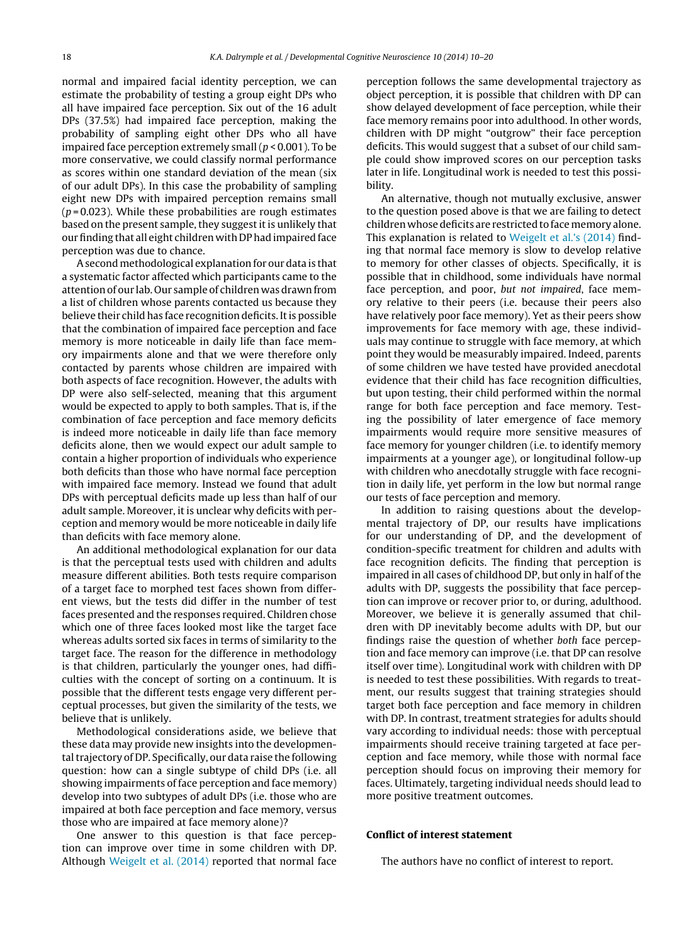normal and impaired facial identity perception, we can estimate the probability of testing a group eight DPs who all have impaired face perception. Six out of the 16 adult DPs (37.5%) had impaired face perception, making the probability of sampling eight other DPs who all have impaired face perception extremely small  $(p < 0.001)$ . To be more conservative, we could classify normal performance as scores within one standard deviation of the mean (six of our adult DPs). In this case the probability of sampling eight new DPs with impaired perception remains small  $(p=0.023)$ . While these probabilities are rough estimates based on the present sample, they suggest it is unlikely that our finding that all eight children with DP had impaired face perception was due to chance.

A secondmethodological explanation for our data is that a systematic factor affected which participants came to the attention of our lab. Our sample of children was drawn from a list of children whose parents contacted us because they believe their child has face recognition deficits. It is possible that the combination of impaired face perception and face memory is more noticeable in daily life than face memory impairments alone and that we were therefore only contacted by parents whose children are impaired with both aspects of face recognition. However, the adults with DP were also self-selected, meaning that this argument would be expected to apply to both samples. That is, if the combination of face perception and face memory deficits is indeed more noticeable in daily life than face memory deficits alone, then we would expect our adult sample to contain a higher proportion of individuals who experience both deficits than those who have normal face perception with impaired face memory. Instead we found that adult DPs with perceptual deficits made up less than half of our adult sample. Moreover, it is unclear why deficits with perception and memory would be more noticeable in daily life than deficits with face memory alone.

An additional methodological explanation for our data is that the perceptual tests used with children and adults measure different abilities. Both tests require comparison of a target face to morphed test faces shown from different views, but the tests did differ in the number of test faces presented and the responses required. Children chose which one of three faces looked most like the target face whereas adults sorted six faces in terms of similarity to the target face. The reason for the difference in methodology is that children, particularly the younger ones, had difficulties with the concept of sorting on a continuum. It is possible that the different tests engage very different perceptual processes, but given the similarity of the tests, we believe that is unlikely.

Methodological considerations aside, we believe that these data may provide new insights into the developmental trajectory of DP. Specifically, our data raise the following question: how can a single subtype of child DPs (i.e. all showing impairments of face perception and face memory) develop into two subtypes of adult DPs (i.e. those who are impaired at both face perception and face memory, versus those who are impaired at face memory alone)?

One answer to this question is that face perception can improve over time in some children with DP. Although [Weigelt et al. \(2014\)](#page-10-0) reported that normal face

perception follows the same developmental trajectory as object perception, it is possible that children with DP can show delayed development of face perception, while their face memory remains poor into adulthood. In other words, children with DP might "outgrow" their face perception deficits. This would suggest that a subset of our child sample could show improved scores on our perception tasks later in life. Longitudinal work is needed to test this possibility.

An alternative, though not mutually exclusive, answer to the question posed above is that we are failing to detect children whose deficits are restricted to face memory alone. This explanation is related to [Weigelt et al.'s \(2014\)](#page-10-0) finding that normal face memory is slow to develop relative to memory for other classes of objects. Specifically, it is possible that in childhood, some individuals have normal face perception, and poor, but not impaired, face memory relative to their peers (i.e. because their peers also have relatively poor face memory). Yet as their peers show improvements for face memory with age, these individuals may continue to struggle with face memory, at which point they would be measurably impaired. Indeed, parents of some children we have tested have provided anecdotal evidence that their child has face recognition difficulties, but upon testing, their child performed within the normal range for both face perception and face memory. Testing the possibility of later emergence of face memory impairments would require more sensitive measures of face memory for younger children (i.e. to identify memory impairments at a younger age), or longitudinal follow-up with children who anecdotally struggle with face recognition in daily life, yet perform in the low but normal range our tests of face perception and memory.

In addition to raising questions about the developmental trajectory of DP, our results have implications for our understanding of DP, and the development of condition-specific treatment for children and adults with face recognition deficits. The finding that perception is impaired in all cases of childhood DP, but only in half of the adults with DP, suggests the possibility that face perception can improve or recover prior to, or during, adulthood. Moreover, we believe it is generally assumed that children with DP inevitably become adults with DP, but our findings raise the question of whether both face perception and face memory can improve (i.e. that DP can resolve itself over time). Longitudinal work with children with DP is needed to test these possibilities. With regards to treatment, our results suggest that training strategies should target both face perception and face memory in children with DP. In contrast, treatment strategies for adults should vary according to individual needs: those with perceptual impairments should receive training targeted at face perception and face memory, while those with normal face perception should focus on improving their memory for faces. Ultimately, targeting individual needs should lead to more positive treatment outcomes.

#### **Conflict of interest statement**

The authors have no conflict of interest to report.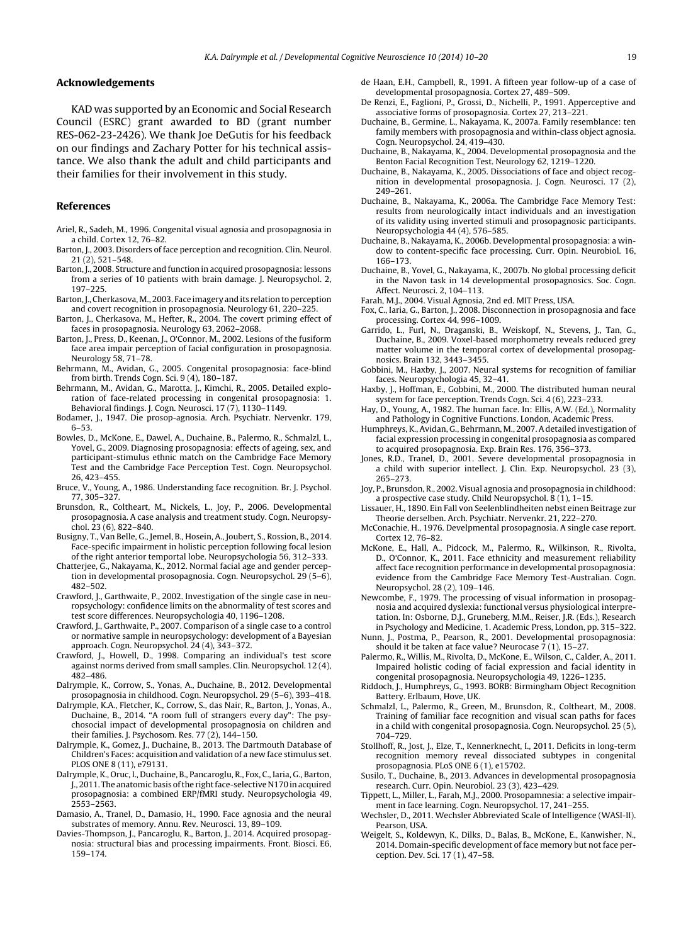#### <span id="page-10-0"></span>**Acknowledgements**

KAD was supported by an Economic and Social Research Council (ESRC) grant awarded to BD (grant number RES-062-23-2426). We thank Joe DeGutis for his feedback on our findings and Zachary Potter for his technical assistance. We also thank the adult and child participants and their families for their involvement in this study.

#### **References**

- Ariel, R., Sadeh, M., 1996. Congenital visual agnosia and prosopagnosia in a child. Cortex 12, 76–82.
- Barton, J., 2003. Disorders of face perception and recognition. Clin. Neurol. 21 (2), 521–548.
- Barton, J., 2008. Structure and function in acquired prosopagnosia: lessons from a series of 10 patients with brain damage. J. Neuropsychol. 2, 197–225.
- Barton, J., Cherkasova,M., 2003. Face imagery and its relation to perception and covert recognition in prosopagnosia. Neurology 61, 220–225.
- Barton, J., Cherkasova, M., Hefter, R., 2004. The covert priming effect of faces in prosopagnosia. Neurology 63, 2062–2068.
- Barton, J., Press, D., Keenan, J., O'Connor, M., 2002. Lesions of the fusiform face area impair perception of facial configuration in prosopagnosia. Neurology 58, 71–78.
- Behrmann, M., Avidan, G., 2005. Congenital prosopagnosia: face-blind from birth. Trends Cogn. Sci. 9 (4), 180–187.
- Behrmann, M., Avidan, G., Marotta, J., Kimchi, R., 2005. Detailed exploration of face-related processing in congenital prosopagnosia: 1. Behavioral findings. J. Cogn. Neurosci. 17 (7), 1130–1149.
- Bodamer, J., 1947. Die prosop-agnosia. Arch. Psychiatr. Nervenkr. 179, 6–53.
- Bowles, D., McKone, E., Dawel, A., Duchaine, B., Palermo, R., Schmalzl, L., Yovel, G., 2009. Diagnosing prosopagnosia: effects of ageing, sex, and participant-stimulus ethnic match on the Cambridge Face Memory Test and the Cambridge Face Perception Test. Cogn. Neuropsychol. 26, 423–455.
- Bruce, V., Young, A., 1986. Understanding face recognition. Br. J. Psychol. 77, 305–327.
- Brunsdon, R., Coltheart, M., Nickels, L., Joy, P., 2006. Developmental prosopagnosia. A case analysis and treatment study. Cogn. Neuropsychol. 23 (6), 822–840.
- Busigny, T., Van Belle, G., Jemel, B., Hosein, A., Joubert, S., Rossion, B., 2014. Face-specific impairment in holistic perception following focal lesion of the right anterior temportal lobe. Neuropsychologia 56, 312–333.
- Chatterjee, G., Nakayama, K., 2012. Normal facial age and gender perception in developmental prosopagnosia. Cogn. Neuropsychol. 29 (5–6), 482–502.
- Crawford, J., Garthwaite, P., 2002. Investigation of the single case in neuropsychology: confidence limits on the abnormality of test scores and test score differences. Neuropsychologia 40, 1196–1208.
- Crawford, J., Garthwaite, P., 2007. Comparison of a single case to a control or normative sample in neuropsychology: development of a Bayesian approach. Cogn. Neuropsychol. 24 (4), 343–372.
- Crawford, J., Howell, D., 1998. Comparing an individual's test score against norms derived from small samples. Clin. Neuropsychol. 12 (4), 482–486.
- Dalrymple, K., Corrow, S., Yonas, A., Duchaine, B., 2012. Developmental prosopagnosia in childhood. Cogn. Neuropsychol. 29 (5–6), 393–418.
- Dalrymple, K.A., Fletcher, K., Corrow, S., das Nair, R., Barton, J., Yonas, A., Duchaine, B., 2014. "A room full of strangers every day": The psychosocial impact of developmental prosopagnosia on children and their families. J. Psychosom. Res. 77 (2), 144–150.
- Dalrymple, K., Gomez, J., Duchaine, B., 2013. The Dartmouth Database of Children's Faces: acquisition and validation of a new face stimulus set. PLOS ONE 8 (11), e79131.
- Dalrymple, K., Oruc, I., Duchaine, B., Pancaroglu, R., Fox, C., Iaria, G., Barton, J., 2011. The anatomic basis of the right face-selective N170 in acquired prosopagnosia: a combined ERP/fMRI study. Neuropsychologia 49, 2553–2563.
- Damasio, A., Tranel, D., Damasio, H., 1990. Face agnosia and the neural substrates of memory. Annu. Rev. Neurosci. 13, 89–109.
- Davies-Thompson, J., Pancaroglu, R., Barton, J., 2014. Acquired prosopagnosia: structural bias and processing impairments. Front. Biosci. E6, 159–174.
- de Haan, E.H., Campbell, R., 1991. A fifteen year follow-up of a case of developmental prosopagnosia. Cortex 27, 489–509.
- De Renzi, E., Faglioni, P., Grossi, D., Nichelli, P., 1991. Apperceptive and associative forms of prosopagnosia. Cortex 27, 213–221.
- Duchaine, B., Germine, L., Nakayama, K., 2007a. Family resemblance: ten family members with prosopagnosia and within-class object agnosia. Cogn. Neuropsychol. 24, 419–430.
- Duchaine, B., Nakayama, K., 2004. Developmental prosopagnosia and the Benton Facial Recognition Test. Neurology 62, 1219–1220.
- Duchaine, B., Nakayama, K., 2005. Dissociations of face and object recognition in developmental prosopagnosia. J. Cogn. Neurosci. 17 (2), 249–261.
- Duchaine, B., Nakayama, K., 2006a. The Cambridge Face Memory Test: results from neurologically intact individuals and an investigation of its validity using inverted stimuli and prosopagnosic participants. Neuropsychologia 44 (4), 576–585.
- Duchaine, B., Nakayama, K., 2006b. Developmental prosopagnosia: a window to content-specific face processing. Curr. Opin. Neurobiol. 16, 166–173.
- Duchaine, B., Yovel, G., Nakayama, K., 2007b. No global processing deficit in the Navon task in 14 developmental prosopagnosics. Soc. Cogn. Affect. Neurosci. 2, 104–113.
- Farah, M.J., 2004. Visual Agnosia, 2nd ed. MIT Press, USA.
- Fox, C., Iaria, G., Barton, J., 2008. Disconnection in prosopagnosia and face processing. Cortex 44, 996–1009.
- Garrido, L., Furl, N., Draganski, B., Weiskopf, N., Stevens, J., Tan, G., Duchaine, B., 2009. Voxel-based morphometry reveals reduced grey matter volume in the temporal cortex of developmental prosopagnosics. Brain 132, 3443–3455.
- Gobbini, M., Haxby, J., 2007. Neural systems for recognition of familiar faces. Neuropsychologia 45, 32–41.
- Haxby, J., Hoffman, E., Gobbini, M., 2000. The distributed human neural system for face perception. Trends Cogn. Sci. 4 (6), 223–233.
- Hay, D., Young, A., 1982. The human face. In: Ellis, A.W. (Ed.), Normality and Pathology in Cognitive Functions. London, Academic Press.
- Humphreys, K., Avidan, G., Behrmann, M., 2007. A detailed investigation of facial expression processing in congenital prosopagnosia as compared to acquired prosopagnosia. Exp. Brain Res. 176, 356–373.
- Jones, R.D., Tranel, D., 2001. Severe developmental prosopagnosia in a child with superior intellect. J. Clin. Exp. Neuropsychol. 23 (3), 265–273.
- Joy, P., Brunsdon, R., 2002. Visual agnosia and prosopagnosia in childhood: a prospective case study. Child Neuropsychol. 8 (1), 1–15.
- Lissauer, H., 1890. Ein Fall von Seelenblindheiten nebst einen Beitrage zur Theorie derselben. Arch. Psychiatr. Nervenkr. 21, 222–270.
- McConachie, H., 1976. Develpmental prosopagnosia. A single case report. Cortex 12, 76–82.
- McKone, E., Hall, A., Pidcock, M., Palermo, R., Wilkinson, R., Rivolta, D., O'Connor, K., 2011. Face ethnicity and measurement reliability affect face recognition performance in developmental prosopagnosia: evidence from the Cambridge Face Memory Test-Australian. Cogn. Neuropsychol. 28 (2), 109–146.
- Newcombe, F., 1979. The processing of visual information in prosopagnosia and acquired dyslexia: functional versus physiological interpretation. In: Osborne, D.J., Gruneberg, M.M., Reiser, J.R. (Eds.), Research in Psychology and Medicine, 1. Academic Press, London, pp. 315–322.
- Nunn, J., Postma, P., Pearson, R., 2001. Developmental prosopagnosia: should it be taken at face value? Neurocase  $7(1)$ , 15–27.
- Palermo, R., Willis, M., Rivolta, D., McKone, E., Wilson, C., Calder, A., 2011. Impaired holistic coding of facial expression and facial identity in congenital prosopagnosia. Neuropsychologia 49, 1226–1235.
- Riddoch, J., Humphreys, G., 1993. BORB: Birmingham Object Recognition Battery. Erlbaum, Hove, UK.
- Schmalzl, L., Palermo, R., Green, M., Brunsdon, R., Coltheart, M., 2008. Training of familiar face recognition and visual scan paths for faces in a child with congenital prosopagnosia. Cogn. Neuropsychol. 25 (5), 704–729.
- Stollhoff, R., Jost, J., Elze, T., Kennerknecht, I., 2011. Deficits in long-term recognition memory reveal dissociated subtypes in congenital prosopagnosia. PLoS ONE 6 (1), e15702.
- Susilo, T., Duchaine, B., 2013. Advances in developmental prosopagnosia research. Curr. Opin. Neurobiol. 23 (3), 423–429.
- Tippett, L., Miller, L., Farah, M.J., 2000. Prosopamnesia: a selective impairment in face learning. Cogn. Neuropsychol. 17, 241–255.
- Wechsler, D., 2011. Wechsler Abbreviated Scale of Intelligence (WASI-II). Pearson, USA.
- Weigelt, S., Koldewyn, K., Dilks, D., Balas, B., McKone, E., Kanwisher, N., 2014. Domain-specific development of face memory but not face perception. Dev. Sci. 17 (1), 47–58.